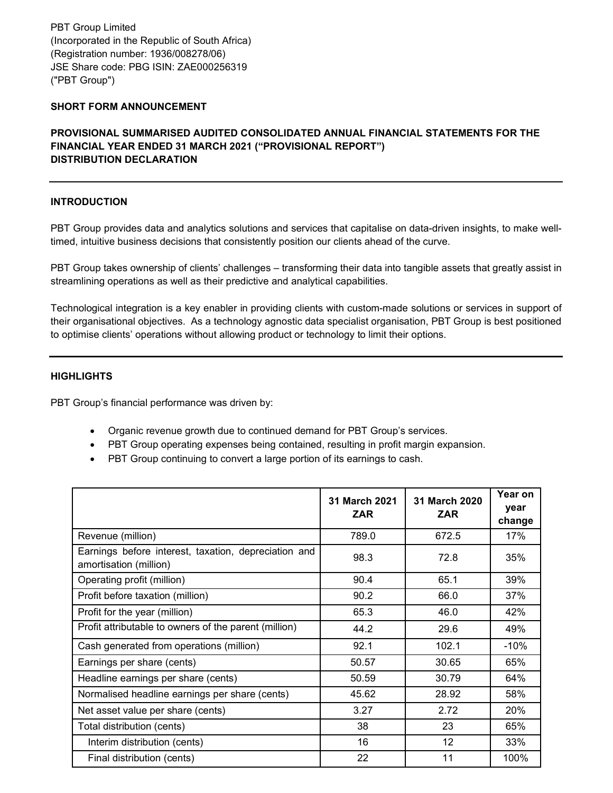PBT Group Limited (Incorporated in the Republic of South Africa) (Registration number: 1936/008278/06) JSE Share code: PBG ISIN: ZAE000256319 ("PBT Group")

# **SHORT FORM ANNOUNCEMENT**

# **PROVISIONAL SUMMARISED AUDITED CONSOLIDATED ANNUAL FINANCIAL STATEMENTS FOR THE FINANCIAL YEAR ENDED 31 MARCH 2021 ("PROVISIONAL REPORT") DISTRIBUTION DECLARATION**

#### **INTRODUCTION**

PBT Group provides data and analytics solutions and services that capitalise on data-driven insights, to make welltimed, intuitive business decisions that consistently position our clients ahead of the curve.

PBT Group takes ownership of clients' challenges – transforming their data into tangible assets that greatly assist in streamlining operations as well as their predictive and analytical capabilities.

Technological integration is a key enabler in providing clients with custom-made solutions or services in support of their organisational objectives. As a technology agnostic data specialist organisation, PBT Group is best positioned to optimise clients' operations without allowing product or technology to limit their options.

## **HIGHLIGHTS**

PBT Group's financial performance was driven by:

- Organic revenue growth due to continued demand for PBT Group's services.
- PBT Group operating expenses being contained, resulting in profit margin expansion.
- PBT Group continuing to convert a large portion of its earnings to cash.

|                                                                                | 31 March 2021<br><b>ZAR</b> | 31 March 2020<br><b>ZAR</b> | Year on<br>year<br>change |
|--------------------------------------------------------------------------------|-----------------------------|-----------------------------|---------------------------|
| Revenue (million)                                                              | 789.0                       | 672.5                       | 17%                       |
| Earnings before interest, taxation, depreciation and<br>amortisation (million) | 98.3                        | 72.8                        | 35%                       |
| Operating profit (million)                                                     | 90.4                        | 65.1                        | 39%                       |
| Profit before taxation (million)                                               | 90.2                        | 66.0                        | 37%                       |
| Profit for the year (million)                                                  | 65.3                        | 46.0                        | 42%                       |
| Profit attributable to owners of the parent (million)                          | 44.2                        | 29.6                        | 49%                       |
| Cash generated from operations (million)                                       | 92.1                        | 102.1                       | $-10%$                    |
| Earnings per share (cents)                                                     | 50.57                       | 30.65                       | 65%                       |
| Headline earnings per share (cents)                                            | 50.59                       | 30.79                       | 64%                       |
| Normalised headline earnings per share (cents)                                 | 45.62                       | 28.92                       | 58%                       |
| Net asset value per share (cents)                                              | 3.27                        | 2.72                        | 20%                       |
| Total distribution (cents)                                                     | 38                          | 23                          | 65%                       |
| Interim distribution (cents)                                                   | 16                          | 12                          | 33%                       |
| Final distribution (cents)                                                     | 22                          | 11                          | 100%                      |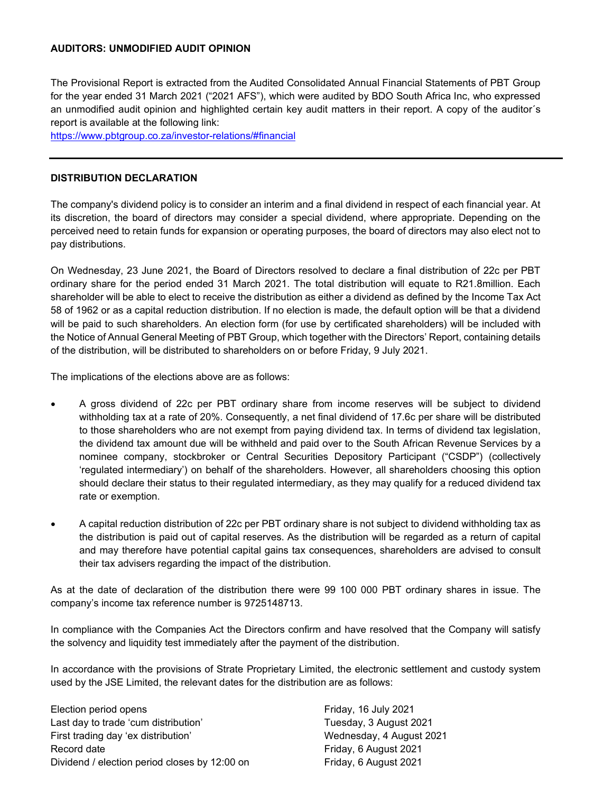## **AUDITORS: UNMODIFIED AUDIT OPINION**

The Provisional Report is extracted from the Audited Consolidated Annual Financial Statements of PBT Group for the year ended 31 March 2021 ("2021 AFS"), which were audited by BDO South Africa Inc, who expressed an unmodified audit opinion and highlighted certain key audit matters in their report. A copy of the auditor´s report is available at the following link:

<https://www.pbtgroup.co.za/investor-relations/#financial>

#### **DISTRIBUTION DECLARATION**

The company's dividend policy is to consider an interim and a final dividend in respect of each financial year. At its discretion, the board of directors may consider a special dividend, where appropriate. Depending on the perceived need to retain funds for expansion or operating purposes, the board of directors may also elect not to pay distributions.

On Wednesday, 23 June 2021, the Board of Directors resolved to declare a final distribution of 22c per PBT ordinary share for the period ended 31 March 2021. The total distribution will equate to R21.8million. Each shareholder will be able to elect to receive the distribution as either a dividend as defined by the Income Tax Act 58 of 1962 or as a capital reduction distribution. If no election is made, the default option will be that a dividend will be paid to such shareholders. An election form (for use by certificated shareholders) will be included with the Notice of Annual General Meeting of PBT Group, which together with the Directors' Report, containing details of the distribution, will be distributed to shareholders on or before Friday, 9 July 2021.

The implications of the elections above are as follows:

- A gross dividend of 22c per PBT ordinary share from income reserves will be subject to dividend withholding tax at a rate of 20%. Consequently, a net final dividend of 17.6c per share will be distributed to those shareholders who are not exempt from paying dividend tax. In terms of dividend tax legislation, the dividend tax amount due will be withheld and paid over to the South African Revenue Services by a nominee company, stockbroker or Central Securities Depository Participant ("CSDP") (collectively 'regulated intermediary') on behalf of the shareholders. However, all shareholders choosing this option should declare their status to their regulated intermediary, as they may qualify for a reduced dividend tax rate or exemption.
- A capital reduction distribution of 22c per PBT ordinary share is not subject to dividend withholding tax as the distribution is paid out of capital reserves. As the distribution will be regarded as a return of capital and may therefore have potential capital gains tax consequences, shareholders are advised to consult their tax advisers regarding the impact of the distribution.

As at the date of declaration of the distribution there were 99 100 000 PBT ordinary shares in issue. The company's income tax reference number is 9725148713.

In compliance with the Companies Act the Directors confirm and have resolved that the Company will satisfy the solvency and liquidity test immediately after the payment of the distribution.

In accordance with the provisions of Strate Proprietary Limited, the electronic settlement and custody system used by the JSE Limited, the relevant dates for the distribution are as follows:

Election period opens **Friday**, 16 July 2021 Last day to trade 'cum distribution' Tuesday, 3 August 2021 First trading day 'ex distribution' Wednesday, 4 August 2021 Record date **Friday, 6 August 2021** Dividend / election period closes by 12:00 on Friday, 6 August 2021